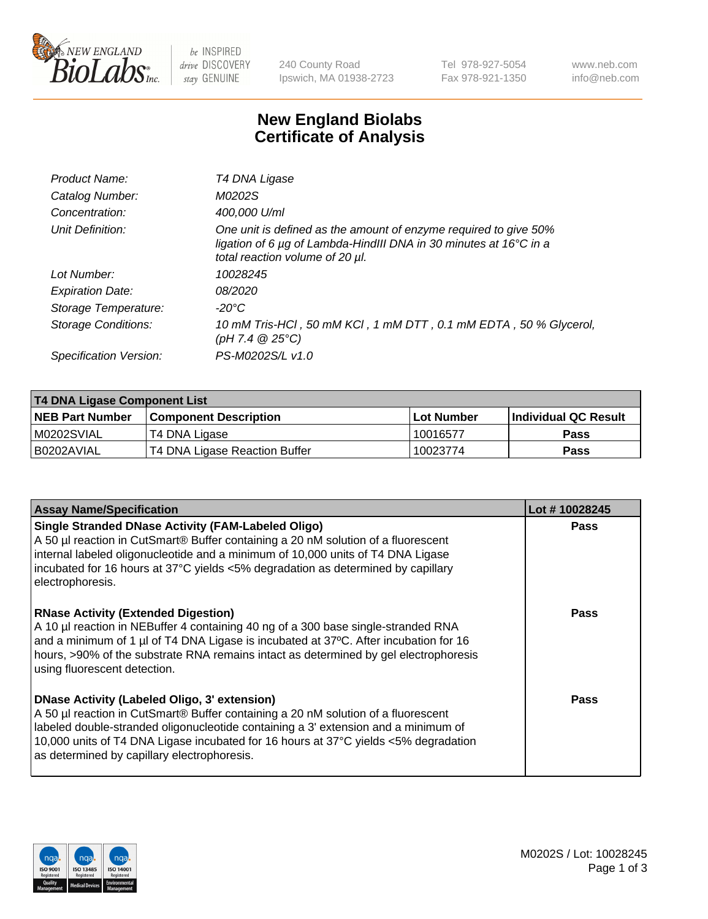

be INSPIRED drive DISCOVERY stay GENUINE

240 County Road Ipswich, MA 01938-2723 Tel 978-927-5054 Fax 978-921-1350 www.neb.com info@neb.com

## **New England Biolabs Certificate of Analysis**

| Product Name:              | T4 DNA Ligase                                                                                                                                                                           |
|----------------------------|-----------------------------------------------------------------------------------------------------------------------------------------------------------------------------------------|
| Catalog Number:            | M0202S                                                                                                                                                                                  |
| Concentration:             | 400,000 U/ml                                                                                                                                                                            |
| Unit Definition:           | One unit is defined as the amount of enzyme required to give 50%<br>ligation of 6 $\mu$ g of Lambda-HindIII DNA in 30 minutes at 16 $\degree$ C in a<br>total reaction volume of 20 µl. |
| Lot Number:                | 10028245                                                                                                                                                                                |
| <b>Expiration Date:</b>    | 08/2020                                                                                                                                                                                 |
| Storage Temperature:       | -20°C                                                                                                                                                                                   |
| <b>Storage Conditions:</b> | 10 mM Tris-HCl, 50 mM KCl, 1 mM DTT, 0.1 mM EDTA, 50 % Glycerol,<br>(pH 7.4 $@25°C$ )                                                                                                   |
| Specification Version:     | PS-M0202S/L v1.0                                                                                                                                                                        |

| <b>T4 DNA Ligase Component List</b> |                               |                   |                      |  |
|-------------------------------------|-------------------------------|-------------------|----------------------|--|
| <b>NEB Part Number</b>              | <b>Component Description</b>  | <b>Lot Number</b> | Individual QC Result |  |
| M0202SVIAL                          | T4 DNA Ligase                 | 10016577          | <b>Pass</b>          |  |
| B0202AVIAL                          | T4 DNA Ligase Reaction Buffer | 10023774          | <b>Pass</b>          |  |

| <b>Assay Name/Specification</b>                                                                                                                                                                                                                                                                                                                                      | Lot #10028245 |
|----------------------------------------------------------------------------------------------------------------------------------------------------------------------------------------------------------------------------------------------------------------------------------------------------------------------------------------------------------------------|---------------|
| <b>Single Stranded DNase Activity (FAM-Labeled Oligo)</b><br>A 50 µl reaction in CutSmart® Buffer containing a 20 nM solution of a fluorescent<br>internal labeled oligonucleotide and a minimum of 10,000 units of T4 DNA Ligase<br>incubated for 16 hours at 37°C yields <5% degradation as determined by capillary<br>electrophoresis.                            | <b>Pass</b>   |
| <b>RNase Activity (Extended Digestion)</b><br>A 10 µl reaction in NEBuffer 4 containing 40 ng of a 300 base single-stranded RNA<br>and a minimum of 1 µl of T4 DNA Ligase is incubated at 37°C. After incubation for 16<br>hours, >90% of the substrate RNA remains intact as determined by gel electrophoresis<br>using fluorescent detection.                      | Pass          |
| <b>DNase Activity (Labeled Oligo, 3' extension)</b><br>A 50 µl reaction in CutSmart® Buffer containing a 20 nM solution of a fluorescent<br>labeled double-stranded oligonucleotide containing a 3' extension and a minimum of<br>10,000 units of T4 DNA Ligase incubated for 16 hours at 37°C yields <5% degradation<br>as determined by capillary electrophoresis. | Pass          |

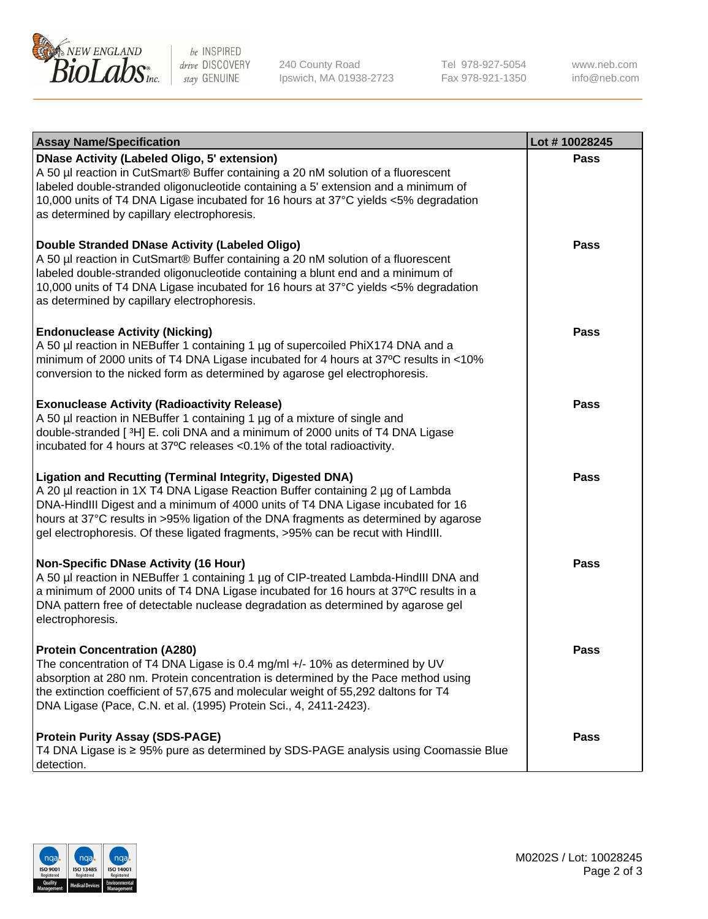

be INSPIRED drive DISCOVERY stay GENUINE

240 County Road Ipswich, MA 01938-2723 Tel 978-927-5054 Fax 978-921-1350

www.neb.com info@neb.com

| <b>Assay Name/Specification</b>                                                                                                                                                                                                                                                                                                                                                                                    | Lot #10028245 |
|--------------------------------------------------------------------------------------------------------------------------------------------------------------------------------------------------------------------------------------------------------------------------------------------------------------------------------------------------------------------------------------------------------------------|---------------|
| <b>DNase Activity (Labeled Oligo, 5' extension)</b><br>A 50 µl reaction in CutSmart® Buffer containing a 20 nM solution of a fluorescent<br>labeled double-stranded oligonucleotide containing a 5' extension and a minimum of<br>10,000 units of T4 DNA Ligase incubated for 16 hours at 37°C yields <5% degradation<br>as determined by capillary electrophoresis.                                               | <b>Pass</b>   |
| <b>Double Stranded DNase Activity (Labeled Oligo)</b><br>A 50 µl reaction in CutSmart® Buffer containing a 20 nM solution of a fluorescent<br>labeled double-stranded oligonucleotide containing a blunt end and a minimum of<br>10,000 units of T4 DNA Ligase incubated for 16 hours at 37°C yields <5% degradation<br>as determined by capillary electrophoresis.                                                | <b>Pass</b>   |
| <b>Endonuclease Activity (Nicking)</b><br>A 50 µl reaction in NEBuffer 1 containing 1 µg of supercoiled PhiX174 DNA and a<br>minimum of 2000 units of T4 DNA Ligase incubated for 4 hours at 37°C results in <10%<br>conversion to the nicked form as determined by agarose gel electrophoresis.                                                                                                                   | <b>Pass</b>   |
| <b>Exonuclease Activity (Radioactivity Release)</b><br>A 50 µl reaction in NEBuffer 1 containing 1 µg of a mixture of single and<br>double-stranded [3H] E. coli DNA and a minimum of 2000 units of T4 DNA Ligase<br>incubated for 4 hours at 37°C releases <0.1% of the total radioactivity.                                                                                                                      | Pass          |
| <b>Ligation and Recutting (Terminal Integrity, Digested DNA)</b><br>A 20 µl reaction in 1X T4 DNA Ligase Reaction Buffer containing 2 µg of Lambda<br>DNA-HindIII Digest and a minimum of 4000 units of T4 DNA Ligase incubated for 16<br>hours at 37°C results in >95% ligation of the DNA fragments as determined by agarose<br>gel electrophoresis. Of these ligated fragments, >95% can be recut with HindIII. | <b>Pass</b>   |
| <b>Non-Specific DNase Activity (16 Hour)</b><br>A 50 µl reaction in NEBuffer 1 containing 1 µg of CIP-treated Lambda-HindIII DNA and<br>a minimum of 2000 units of T4 DNA Ligase incubated for 16 hours at 37°C results in a<br>DNA pattern free of detectable nuclease degradation as determined by agarose gel<br>electrophoresis.                                                                               | <b>Pass</b>   |
| <b>Protein Concentration (A280)</b><br>The concentration of T4 DNA Ligase is 0.4 mg/ml +/- 10% as determined by UV<br>absorption at 280 nm. Protein concentration is determined by the Pace method using<br>the extinction coefficient of 57,675 and molecular weight of 55,292 daltons for T4<br>DNA Ligase (Pace, C.N. et al. (1995) Protein Sci., 4, 2411-2423).                                                | Pass          |
| <b>Protein Purity Assay (SDS-PAGE)</b><br>T4 DNA Ligase is ≥ 95% pure as determined by SDS-PAGE analysis using Coomassie Blue<br>detection.                                                                                                                                                                                                                                                                        | Pass          |